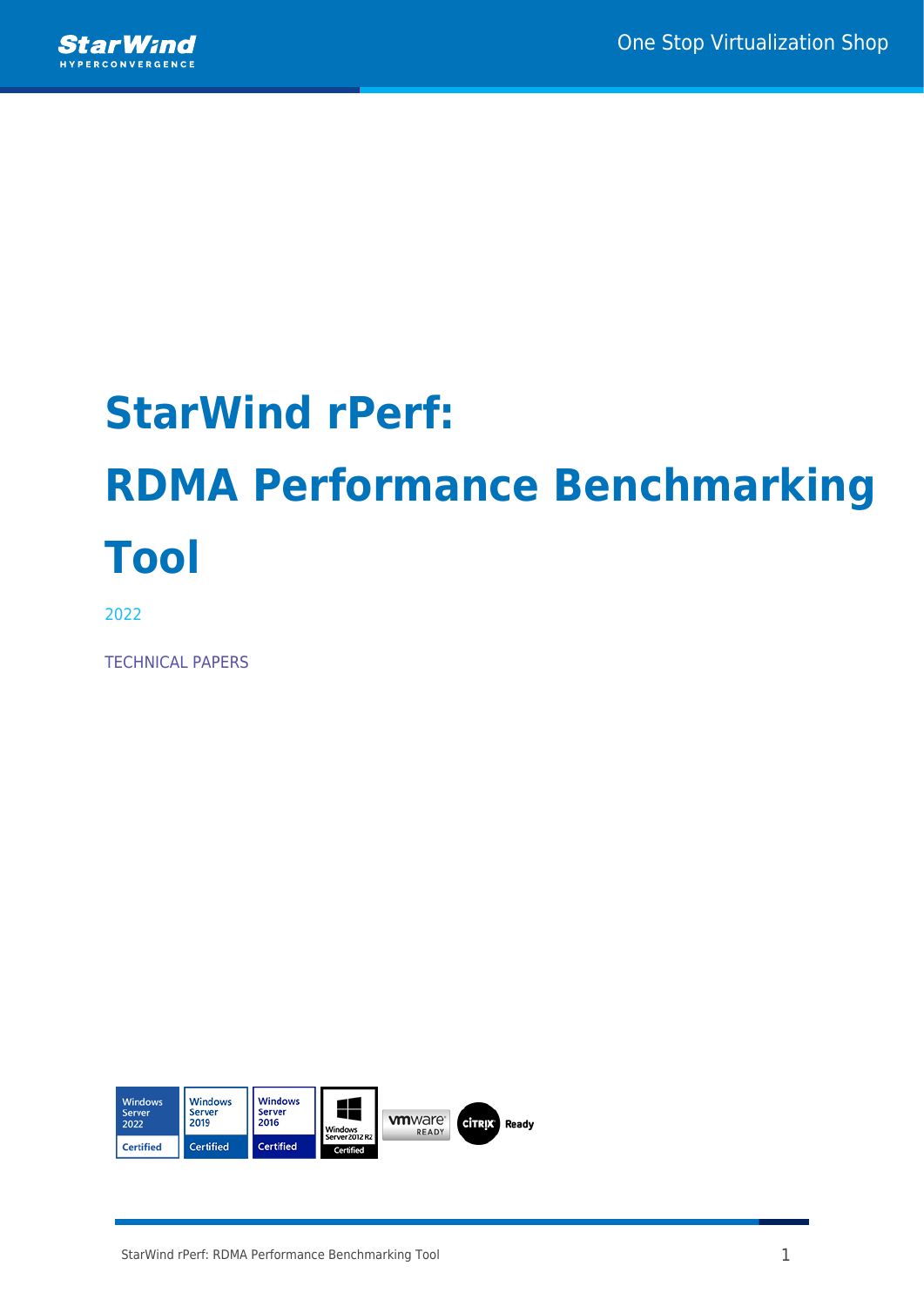

# **StarWind rPerf: RDMA Performance Benchmarking Tool**

2022

TECHNICAL PAPERS

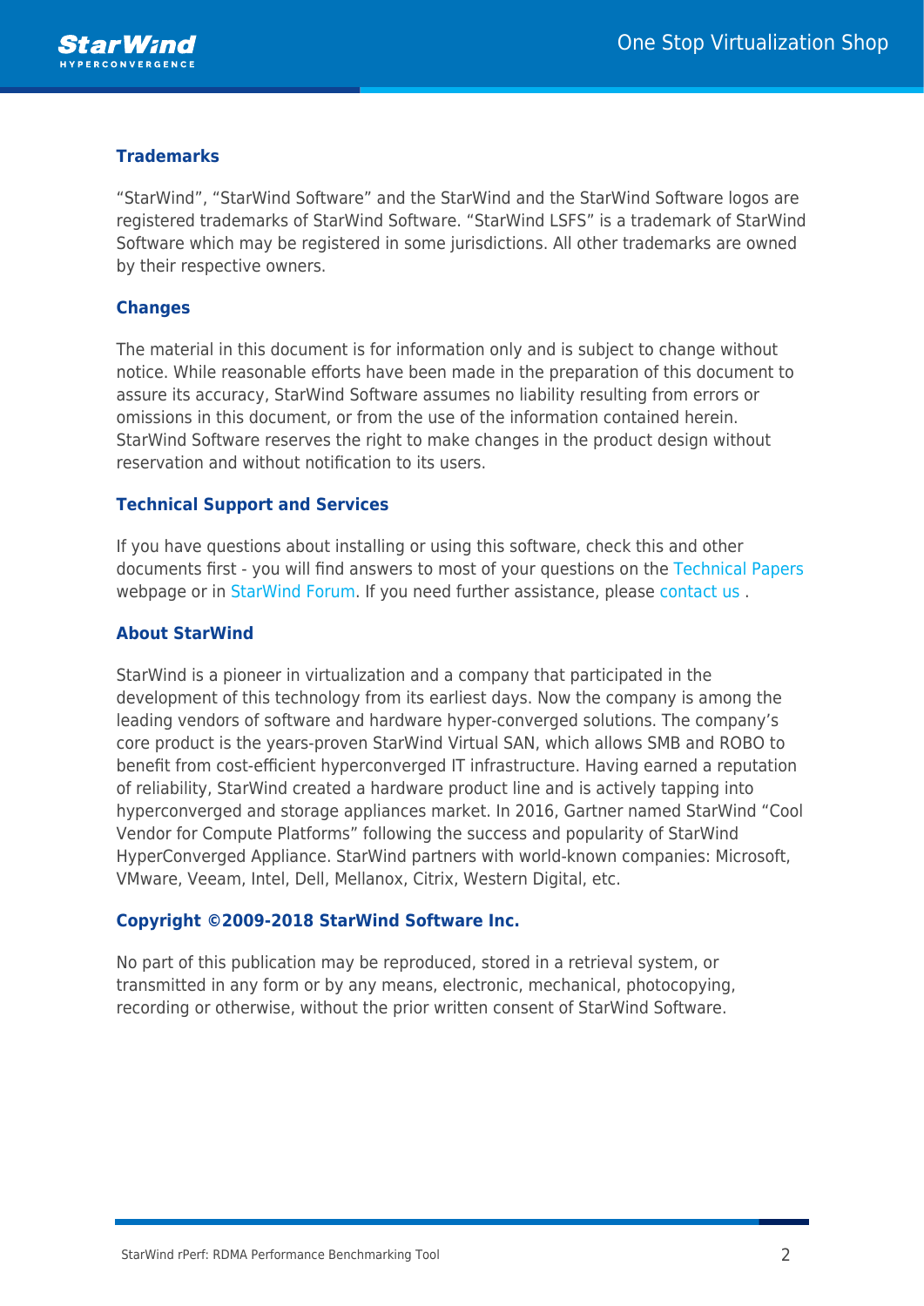

### **Trademarks**

"StarWind", "StarWind Software" and the StarWind and the StarWind Software logos are registered trademarks of StarWind Software. "StarWind LSFS" is a trademark of StarWind Software which may be registered in some jurisdictions. All other trademarks are owned by their respective owners.

#### **Changes**

The material in this document is for information only and is subject to change without notice. While reasonable efforts have been made in the preparation of this document to assure its accuracy, StarWind Software assumes no liability resulting from errors or omissions in this document, or from the use of the information contained herein. StarWind Software reserves the right to make changes in the product design without reservation and without notification to its users.

#### **Technical Support and Services**

If you have questions about installing or using this software, check this and other documents first - you will find answers to most of your questions on the [Technical Papers](https://www.starwind.com/resource-library) webpage or in [StarWind Forum](https://www.starwind.com/forums). If you need further assistance, please [contact us](https://www.starwind.com/contact-us) .

#### **About StarWind**

StarWind is a pioneer in virtualization and a company that participated in the development of this technology from its earliest days. Now the company is among the leading vendors of software and hardware hyper-converged solutions. The company's core product is the years-proven StarWind Virtual SAN, which allows SMB and ROBO to benefit from cost-efficient hyperconverged IT infrastructure. Having earned a reputation of reliability, StarWind created a hardware product line and is actively tapping into hyperconverged and storage appliances market. In 2016, Gartner named StarWind "Cool Vendor for Compute Platforms" following the success and popularity of StarWind HyperConverged Appliance. StarWind partners with world-known companies: Microsoft, VMware, Veeam, Intel, Dell, Mellanox, Citrix, Western Digital, etc.

#### **Copyright ©2009-2018 StarWind Software Inc.**

No part of this publication may be reproduced, stored in a retrieval system, or transmitted in any form or by any means, electronic, mechanical, photocopying, recording or otherwise, without the prior written consent of StarWind Software.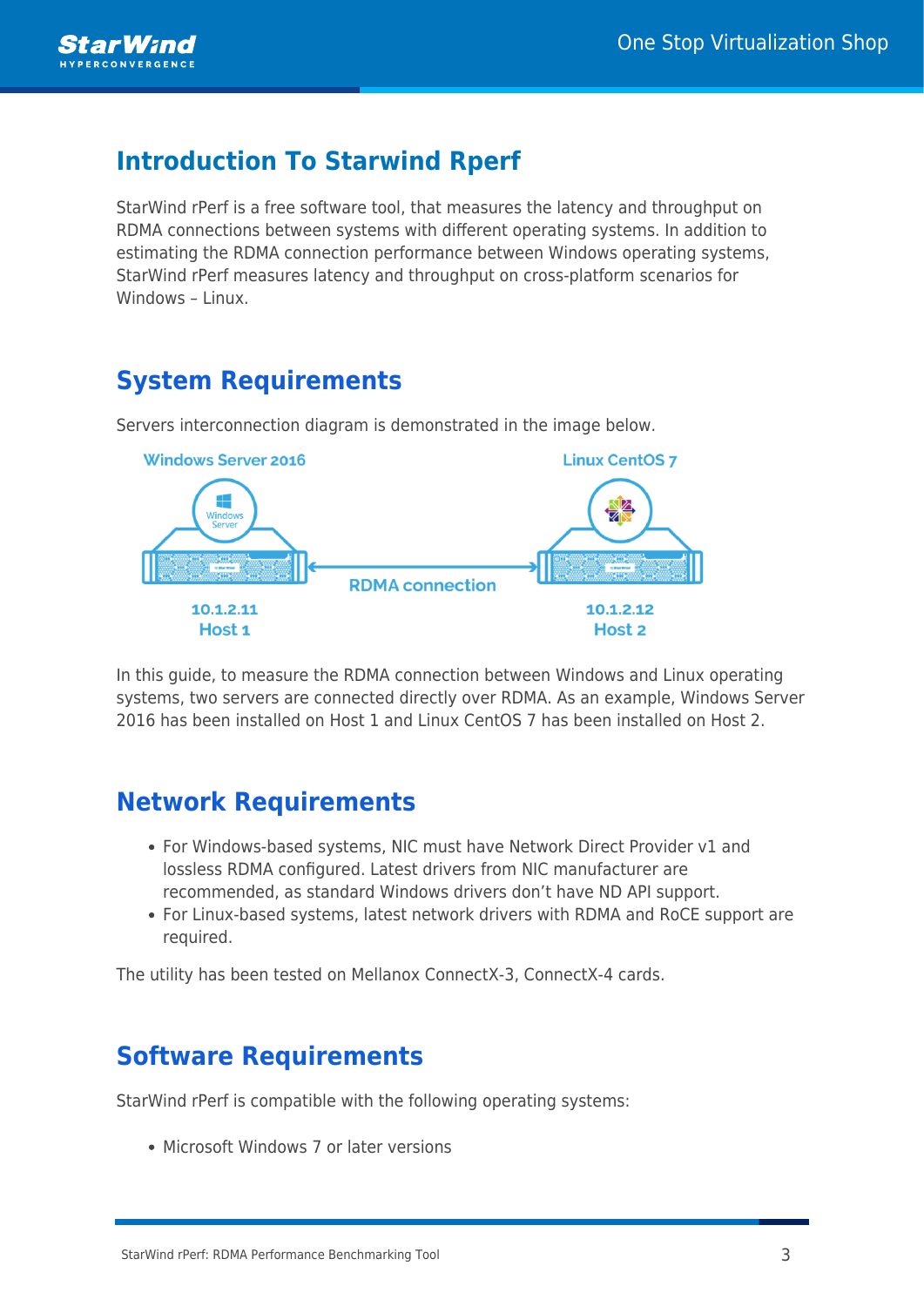

## **Introduction To Starwind Rperf**

StarWind rPerf is a free software tool, that measures the latency and throughput on RDMA connections between systems with different operating systems. In addition to estimating the RDMA connection performance between Windows operating systems, StarWind rPerf measures latency and throughput on cross-platform scenarios for Windows – Linux.

## **System Requirements**

Servers interconnection diagram is demonstrated in the image below.



In this guide, to measure the RDMA connection between Windows and Linux operating systems, two servers are connected directly over RDMA. As an example, Windows Server 2016 has been installed on Host 1 and Linux CentOS 7 has been installed on Host 2.

## **Network Requirements**

- For Windows-based systems, NIC must have Network Direct Provider v1 and lossless RDMA configured. Latest drivers from NIC manufacturer are recommended, as standard Windows drivers don't have ND API support.
- For Linux-based systems, latest network drivers with RDMA and RoCE support are required.

The utility has been tested on Mellanox ConnectX-3, ConnectX-4 cards.

## **Software Requirements**

StarWind rPerf is compatible with the following operating systems:

• Microsoft Windows 7 or later versions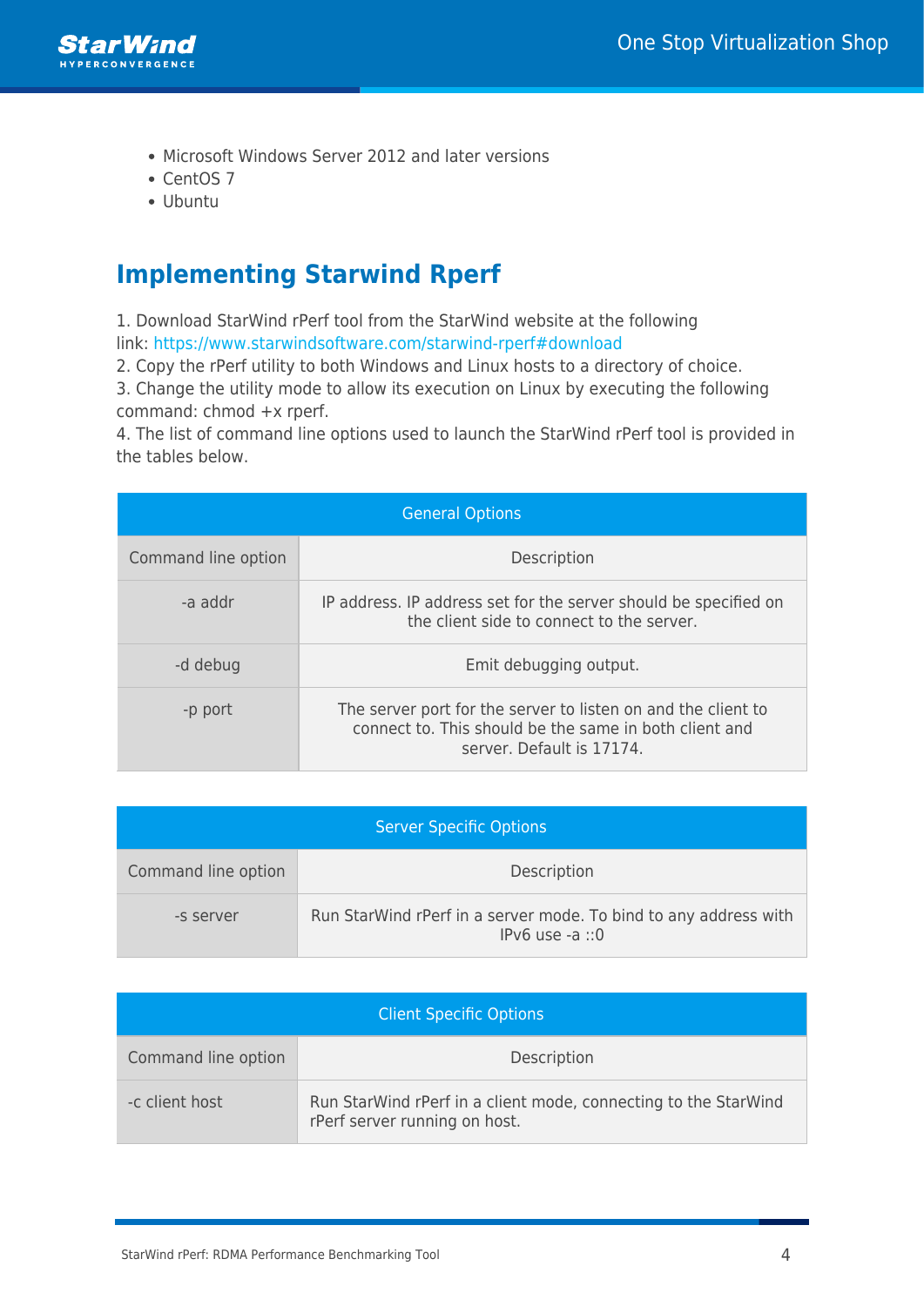

- Microsoft Windows Server 2012 and later versions
- CentOS 7
- Ubuntu

# **Implementing Starwind Rperf**

1. Download StarWind rPerf tool from the StarWind website at the following link: <https://www.starwindsoftware.com/starwind-rperf#download>

2. Copy the rPerf utility to both Windows and Linux hosts to a directory of choice.

3. Change the utility mode to allow its execution on Linux by executing the following command: chmod +x rperf.

4. The list of command line options used to launch the StarWind rPerf tool is provided in the tables below.

| <b>General Options</b> |                                                                                                                                                      |  |
|------------------------|------------------------------------------------------------------------------------------------------------------------------------------------------|--|
| Command line option    | Description                                                                                                                                          |  |
| -a addr                | IP address. IP address set for the server should be specified on<br>the client side to connect to the server.                                        |  |
| -d debug               | Emit debugging output.                                                                                                                               |  |
| -p port                | The server port for the server to listen on and the client to<br>connect to. This should be the same in both client and<br>server. Default is 17174. |  |

| <b>Server Specific Options</b> |                                                                                       |  |
|--------------------------------|---------------------------------------------------------------------------------------|--|
| Command line option            | Description                                                                           |  |
| -s server                      | Run StarWind rPerf in a server mode. To bind to any address with<br>$IPv6$ use -a ::0 |  |

| <b>Client Specific Options</b> |                                                                                                  |  |
|--------------------------------|--------------------------------------------------------------------------------------------------|--|
| Command line option            | Description                                                                                      |  |
| -c client host                 | Run StarWind rPerf in a client mode, connecting to the StarWind<br>rPerf server running on host. |  |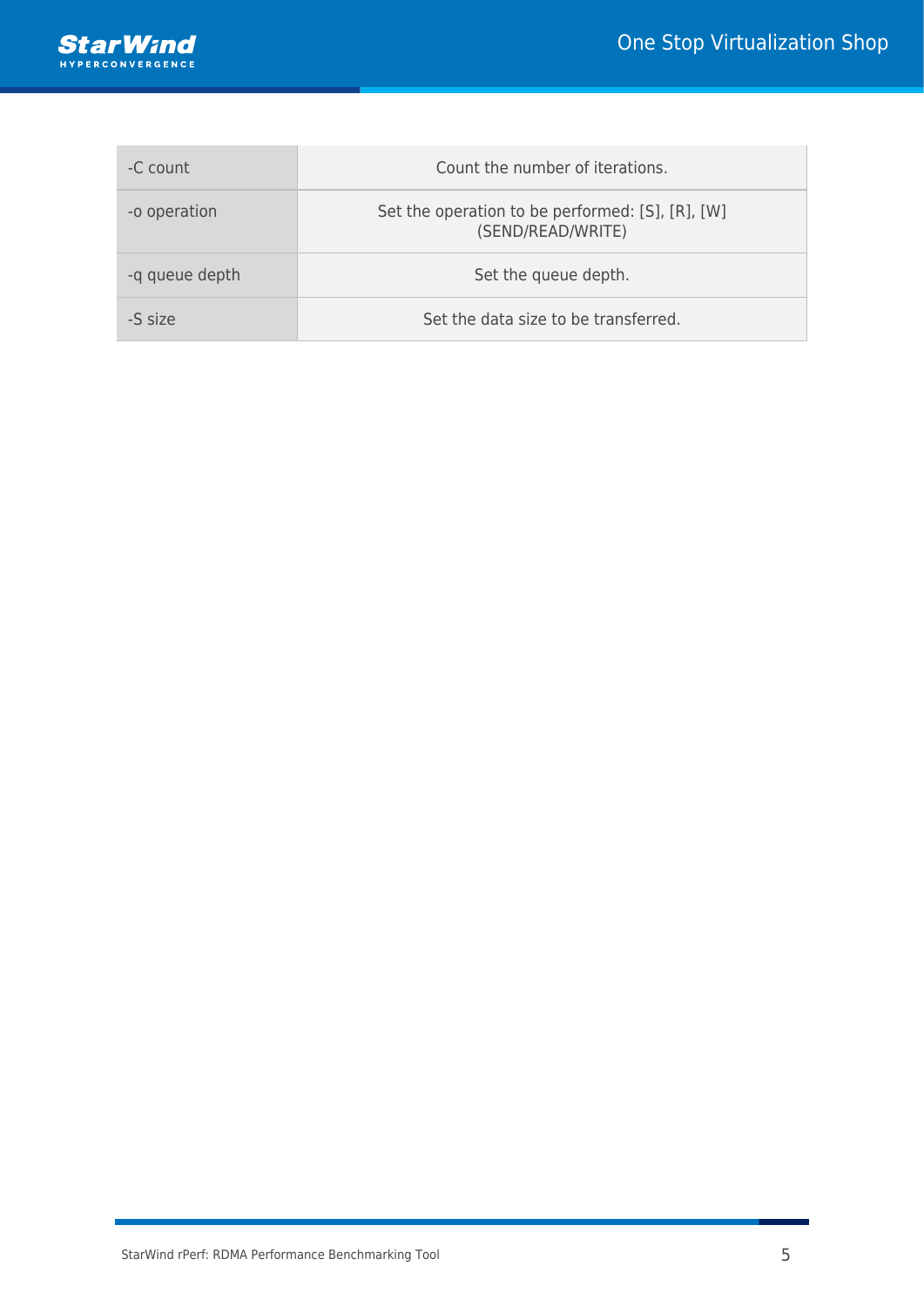

| -C count       | Count the number of iterations.                                       |
|----------------|-----------------------------------------------------------------------|
| -o operation   | Set the operation to be performed: [S], [R], [W]<br>(SEND/READ/WRITE) |
| -q queue depth | Set the queue depth.                                                  |
| -S size        | Set the data size to be transferred.                                  |